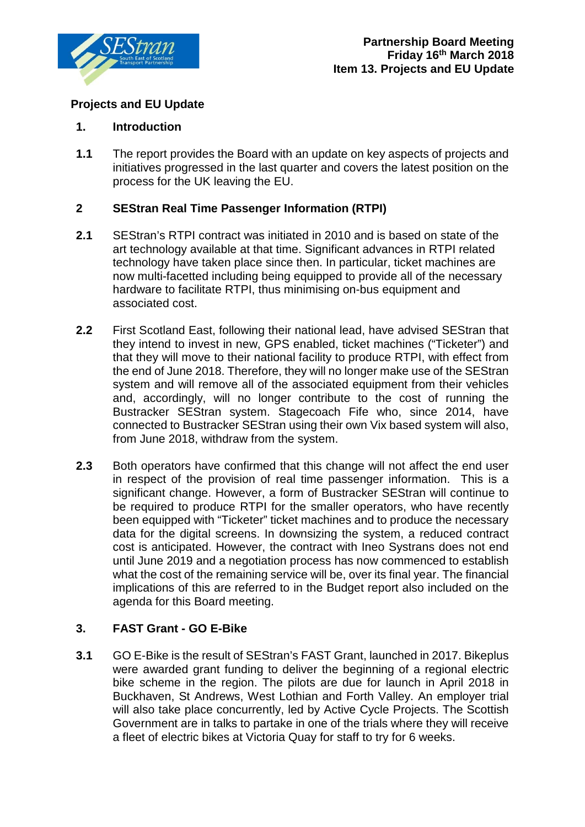

# **Projects and EU Update**

### **1. Introduction**

**1.1** The report provides the Board with an update on key aspects of projects and initiatives progressed in the last quarter and covers the latest position on the process for the UK leaving the EU.

## **2 SEStran Real Time Passenger Information (RTPI)**

- **2.1** SEStran's RTPI contract was initiated in 2010 and is based on state of the art technology available at that time. Significant advances in RTPI related technology have taken place since then. In particular, ticket machines are now multi-facetted including being equipped to provide all of the necessary hardware to facilitate RTPI, thus minimising on-bus equipment and associated cost.
- **2.2** First Scotland East, following their national lead, have advised SEStran that they intend to invest in new, GPS enabled, ticket machines ("Ticketer") and that they will move to their national facility to produce RTPI, with effect from the end of June 2018. Therefore, they will no longer make use of the SEStran system and will remove all of the associated equipment from their vehicles and, accordingly, will no longer contribute to the cost of running the Bustracker SEStran system. Stagecoach Fife who, since 2014, have connected to Bustracker SEStran using their own Vix based system will also, from June 2018, withdraw from the system.
- **2.3** Both operators have confirmed that this change will not affect the end user in respect of the provision of real time passenger information. This is a significant change. However, a form of Bustracker SEStran will continue to be required to produce RTPI for the smaller operators, who have recently been equipped with "Ticketer" ticket machines and to produce the necessary data for the digital screens. In downsizing the system, a reduced contract cost is anticipated. However, the contract with Ineo Systrans does not end until June 2019 and a negotiation process has now commenced to establish what the cost of the remaining service will be, over its final year. The financial implications of this are referred to in the Budget report also included on the agenda for this Board meeting.

## **3. FAST Grant - GO E-Bike**

**3.1** GO E-Bike is the result of SEStran's FAST Grant, launched in 2017. Bikeplus were awarded grant funding to deliver the beginning of a regional electric bike scheme in the region. The pilots are due for launch in April 2018 in Buckhaven, St Andrews, West Lothian and Forth Valley. An employer trial will also take place concurrently, led by Active Cycle Projects. The Scottish Government are in talks to partake in one of the trials where they will receive a fleet of electric bikes at Victoria Quay for staff to try for 6 weeks.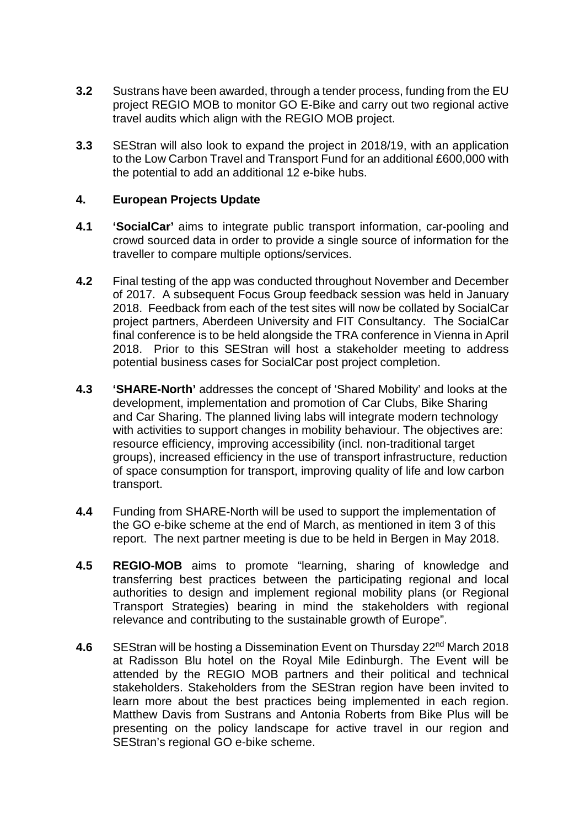- **3.2** Sustrans have been awarded, through a tender process, funding from the EU project REGIO MOB to monitor GO E-Bike and carry out two regional active travel audits which align with the REGIO MOB project.
- **3.3** SEStran will also look to expand the project in 2018/19, with an application to the Low Carbon Travel and Transport Fund for an additional £600,000 with the potential to add an additional 12 e-bike hubs.

#### **4. European Projects Update**

- **4.1 'SocialCar'** aims to integrate public transport information, car-pooling and crowd sourced data in order to provide a single source of information for the traveller to compare multiple options/services.
- **4.2** Final testing of the app was conducted throughout November and December of 2017. A subsequent Focus Group feedback session was held in January 2018. Feedback from each of the test sites will now be collated by SocialCar project partners, Aberdeen University and FIT Consultancy. The SocialCar final conference is to be held alongside the TRA conference in Vienna in April 2018. Prior to this SEStran will host a stakeholder meeting to address potential business cases for SocialCar post project completion.
- **4.3 'SHARE-North'** addresses the concept of 'Shared Mobility' and looks at the development, implementation and promotion of Car Clubs, Bike Sharing and Car Sharing. The planned living labs will integrate modern technology with activities to support changes in mobility behaviour. The objectives are: resource efficiency, improving accessibility (incl. non-traditional target groups), increased efficiency in the use of transport infrastructure, reduction of space consumption for transport, improving quality of life and low carbon transport.
- **4.4** Funding from SHARE-North will be used to support the implementation of the GO e-bike scheme at the end of March, as mentioned in item 3 of this report. The next partner meeting is due to be held in Bergen in May 2018.
- **4.5 REGIO-MOB** aims to promote "learning, sharing of knowledge and transferring best practices between the participating regional and local authorities to design and implement regional mobility plans (or Regional Transport Strategies) bearing in mind the stakeholders with regional relevance and contributing to the sustainable growth of Europe".
- **4.6** SEStran will be hosting a Dissemination Event on Thursday 22nd March 2018 at Radisson Blu hotel on the Royal Mile Edinburgh. The Event will be attended by the REGIO MOB partners and their political and technical stakeholders. Stakeholders from the SEStran region have been invited to learn more about the best practices being implemented in each region. Matthew Davis from Sustrans and Antonia Roberts from Bike Plus will be presenting on the policy landscape for active travel in our region and SEStran's regional GO e-bike scheme.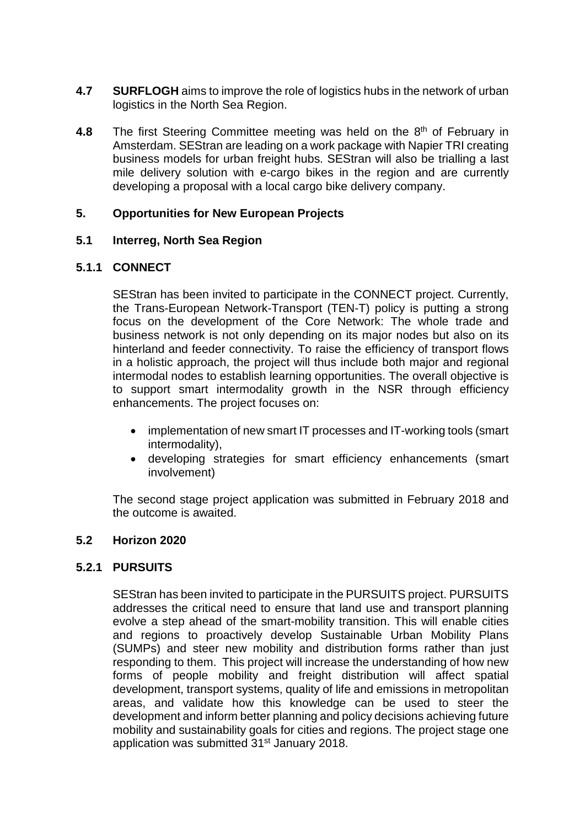- **4.7 SURFLOGH** aims to improve the role of logistics hubs in the network of urban logistics in the North Sea Region.
- **4.8** The first Steering Committee meeting was held on the 8<sup>th</sup> of February in Amsterdam. SEStran are leading on a work package with Napier TRI creating business models for urban freight hubs. SEStran will also be trialling a last mile delivery solution with e-cargo bikes in the region and are currently developing a proposal with a local cargo bike delivery company.

#### **5. Opportunities for New European Projects**

#### **5.1 Interreg, North Sea Region**

#### **5.1.1 CONNECT**

SEStran has been invited to participate in the CONNECT project. Currently, the Trans-European Network-Transport (TEN-T) policy is putting a strong focus on the development of the Core Network: The whole trade and business network is not only depending on its major nodes but also on its hinterland and feeder connectivity. To raise the efficiency of transport flows in a holistic approach, the project will thus include both major and regional intermodal nodes to establish learning opportunities. The overall objective is to support smart intermodality growth in the NSR through efficiency enhancements. The project focuses on:

- implementation of new smart IT processes and IT-working tools (smart intermodality),
- developing strategies for smart efficiency enhancements (smart involvement)

The second stage project application was submitted in February 2018 and the outcome is awaited.

### **5.2 Horizon 2020**

#### **5.2.1 PURSUITS**

SEStran has been invited to participate in the PURSUITS project. PURSUITS addresses the critical need to ensure that land use and transport planning evolve a step ahead of the smart-mobility transition. This will enable cities and regions to proactively develop Sustainable Urban Mobility Plans (SUMPs) and steer new mobility and distribution forms rather than just responding to them. This project will increase the understanding of how new forms of people mobility and freight distribution will affect spatial development, transport systems, quality of life and emissions in metropolitan areas, and validate how this knowledge can be used to steer the development and inform better planning and policy decisions achieving future mobility and sustainability goals for cities and regions. The project stage one application was submitted 31<sup>st</sup> January 2018.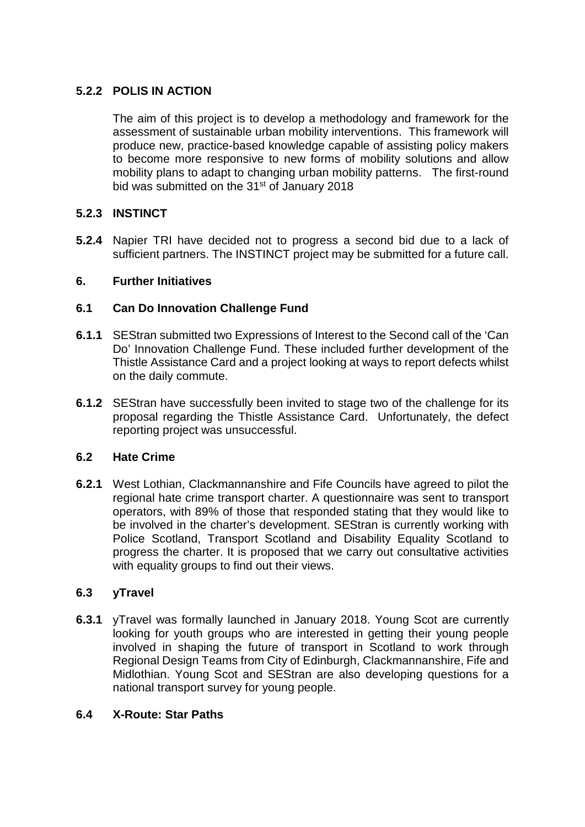## **5.2.2 POLIS IN ACTION**

The aim of this project is to develop a methodology and framework for the assessment of sustainable urban mobility interventions. This framework will produce new, practice-based knowledge capable of assisting policy makers to become more responsive to new forms of mobility solutions and allow mobility plans to adapt to changing urban mobility patterns. The first-round bid was submitted on the 31<sup>st</sup> of January 2018

# **5.2.3 INSTINCT**

**5.2.4** Napier TRI have decided not to progress a second bid due to a lack of sufficient partners. The INSTINCT project may be submitted for a future call.

### **6. Further Initiatives**

## **6.1 Can Do Innovation Challenge Fund**

- **6.1.1** SEStran submitted two Expressions of Interest to the Second call of the 'Can Do' Innovation Challenge Fund. These included further development of the Thistle Assistance Card and a project looking at ways to report defects whilst on the daily commute.
- **6.1.2** SEStran have successfully been invited to stage two of the challenge for its proposal regarding the Thistle Assistance Card. Unfortunately, the defect reporting project was unsuccessful.

#### **6.2 Hate Crime**

**6.2.1** West Lothian, Clackmannanshire and Fife Councils have agreed to pilot the regional hate crime transport charter. A questionnaire was sent to transport operators, with 89% of those that responded stating that they would like to be involved in the charter's development. SEStran is currently working with Police Scotland, Transport Scotland and Disability Equality Scotland to progress the charter. It is proposed that we carry out consultative activities with equality groups to find out their views.

## **6.3 yTravel**

**6.3.1** yTravel was formally launched in January 2018. Young Scot are currently looking for youth groups who are interested in getting their young people involved in shaping the future of transport in Scotland to work through Regional Design Teams from City of Edinburgh, Clackmannanshire, Fife and Midlothian. Young Scot and SEStran are also developing questions for a national transport survey for young people.

## **6.4 X-Route: Star Paths**